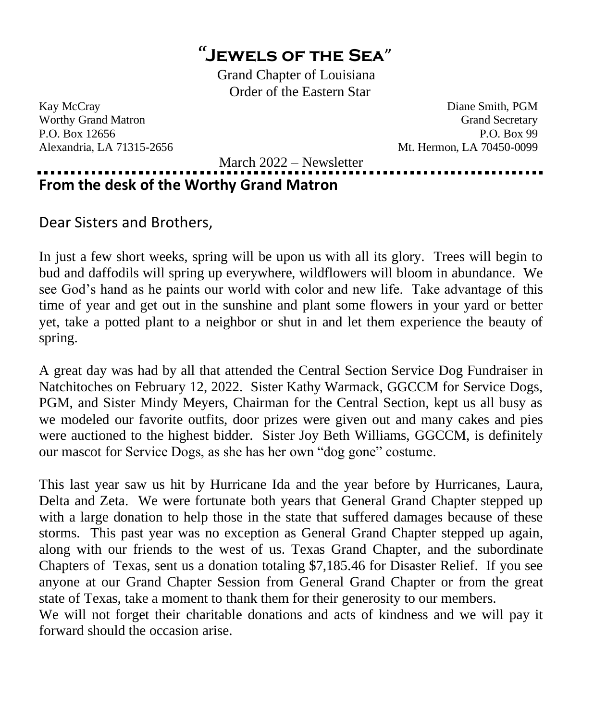## *"***Jewels of the Sea**"

Grand Chapter of Louisiana Order of the Eastern Star

Kay McCray Diane Smith, PGM Worthy Grand Matron Grand Secretary Communication of the Secretary Grand Secretary P.O. Box 12656 P.O. Box 99 Alexandria, LA 71315-2656 Mt. Hermon, LA 70450-0099

March 2022 – Newsletter

## . . . . . . . . . . . . . . . . . . . **From the desk of the Worthy Grand Matron**

Dear Sisters and Brothers,

In just a few short weeks, spring will be upon us with all its glory. Trees will begin to bud and daffodils will spring up everywhere, wildflowers will bloom in abundance. We see God's hand as he paints our world with color and new life. Take advantage of this time of year and get out in the sunshine and plant some flowers in your yard or better yet, take a potted plant to a neighbor or shut in and let them experience the beauty of spring.

A great day was had by all that attended the Central Section Service Dog Fundraiser in Natchitoches on February 12, 2022. Sister Kathy Warmack, GGCCM for Service Dogs, PGM, and Sister Mindy Meyers, Chairman for the Central Section, kept us all busy as we modeled our favorite outfits, door prizes were given out and many cakes and pies were auctioned to the highest bidder. Sister Joy Beth Williams, GGCCM, is definitely our mascot for Service Dogs, as she has her own "dog gone" costume.

This last year saw us hit by Hurricane Ida and the year before by Hurricanes, Laura, Delta and Zeta. We were fortunate both years that General Grand Chapter stepped up with a large donation to help those in the state that suffered damages because of these storms. This past year was no exception as General Grand Chapter stepped up again, along with our friends to the west of us. Texas Grand Chapter, and the subordinate Chapters of Texas, sent us a donation totaling \$7,185.46 for Disaster Relief. If you see anyone at our Grand Chapter Session from General Grand Chapter or from the great state of Texas, take a moment to thank them for their generosity to our members.

We will not forget their charitable donations and acts of kindness and we will pay it forward should the occasion arise.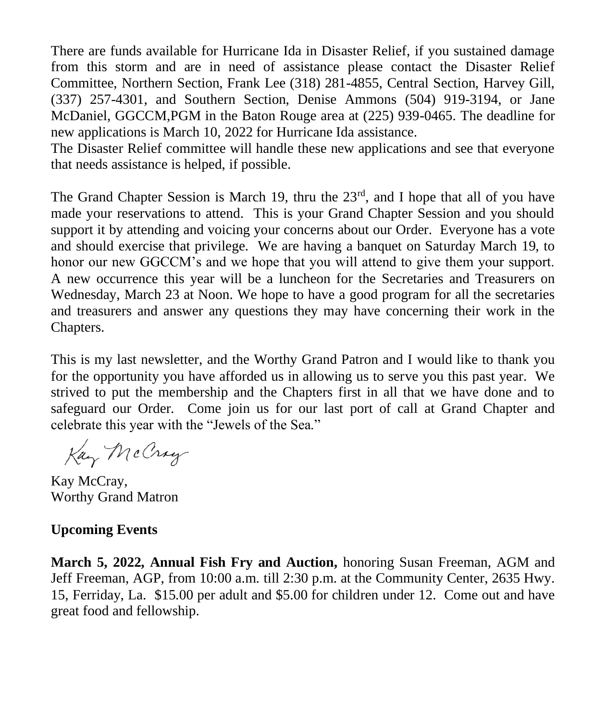There are funds available for Hurricane Ida in Disaster Relief, if you sustained damage from this storm and are in need of assistance please contact the Disaster Relief Committee, Northern Section, Frank Lee (318) 281-4855, Central Section, Harvey Gill, (337) 257-4301, and Southern Section, Denise Ammons (504) 919-3194, or Jane McDaniel, GGCCM,PGM in the Baton Rouge area at (225) 939-0465. The deadline for new applications is March 10, 2022 for Hurricane Ida assistance.

The Disaster Relief committee will handle these new applications and see that everyone that needs assistance is helped, if possible.

The Grand Chapter Session is March 19, thru the  $23<sup>rd</sup>$ , and I hope that all of you have made your reservations to attend. This is your Grand Chapter Session and you should support it by attending and voicing your concerns about our Order. Everyone has a vote and should exercise that privilege. We are having a banquet on Saturday March 19, to honor our new GGCCM's and we hope that you will attend to give them your support. A new occurrence this year will be a luncheon for the Secretaries and Treasurers on Wednesday, March 23 at Noon. We hope to have a good program for all the secretaries and treasurers and answer any questions they may have concerning their work in the Chapters.

This is my last newsletter, and the Worthy Grand Patron and I would like to thank you for the opportunity you have afforded us in allowing us to serve you this past year. We strived to put the membership and the Chapters first in all that we have done and to safeguard our Order. Come join us for our last port of call at Grand Chapter and celebrate this year with the "Jewels of the Sea."

Kay McCray

Kay McCray, Worthy Grand Matron

## **Upcoming Events**

**March 5, 2022, Annual Fish Fry and Auction,** honoring Susan Freeman, AGM and Jeff Freeman, AGP, from 10:00 a.m. till 2:30 p.m. at the Community Center, 2635 Hwy. 15, Ferriday, La. \$15.00 per adult and \$5.00 for children under 12. Come out and have great food and fellowship.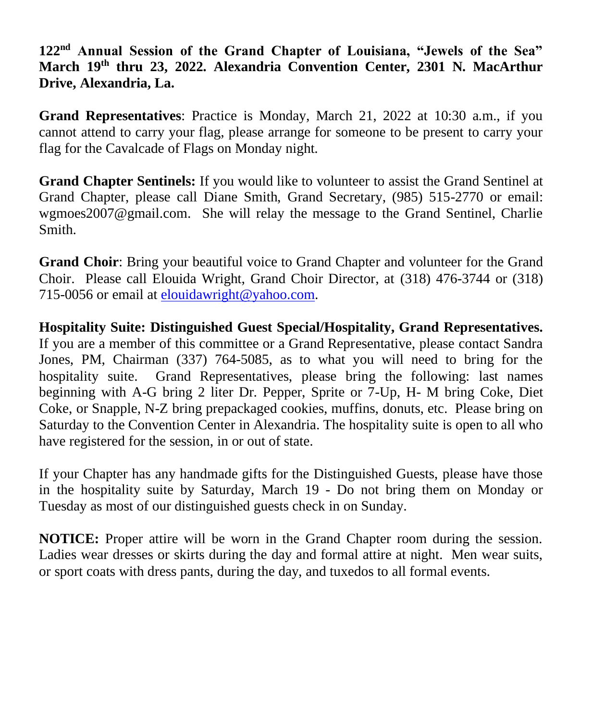**122nd Annual Session of the Grand Chapter of Louisiana, "Jewels of the Sea" March 19th thru 23, 2022. Alexandria Convention Center, 2301 N. MacArthur Drive, Alexandria, La.**

**Grand Representatives**: Practice is Monday, March 21, 2022 at 10:30 a.m., if you cannot attend to carry your flag, please arrange for someone to be present to carry your flag for the Cavalcade of Flags on Monday night.

**Grand Chapter Sentinels:** If you would like to volunteer to assist the Grand Sentinel at Grand Chapter, please call Diane Smith, Grand Secretary, (985) 515-2770 or email: wgmoes2007@gmail.com. She will relay the message to the Grand Sentinel, Charlie Smith.

**Grand Choir**: Bring your beautiful voice to Grand Chapter and volunteer for the Grand Choir. Please call Elouida Wright, Grand Choir Director, at (318) 476-3744 or (318) 715-0056 or email at [elouidawright@yahoo.com.](mailto:elouidawright@yahoo.com)

**Hospitality Suite: Distinguished Guest Special/Hospitality, Grand Representatives.**  If you are a member of this committee or a Grand Representative, please contact Sandra Jones, PM, Chairman (337) 764-5085, as to what you will need to bring for the hospitality suite. Grand Representatives, please bring the following: last names beginning with A-G bring 2 liter Dr. Pepper, Sprite or 7-Up, H- M bring Coke, Diet Coke, or Snapple, N-Z bring prepackaged cookies, muffins, donuts, etc. Please bring on Saturday to the Convention Center in Alexandria. The hospitality suite is open to all who have registered for the session, in or out of state.

If your Chapter has any handmade gifts for the Distinguished Guests, please have those in the hospitality suite by Saturday, March 19 - Do not bring them on Monday or Tuesday as most of our distinguished guests check in on Sunday.

**NOTICE:** Proper attire will be worn in the Grand Chapter room during the session. Ladies wear dresses or skirts during the day and formal attire at night. Men wear suits, or sport coats with dress pants, during the day, and tuxedos to all formal events.